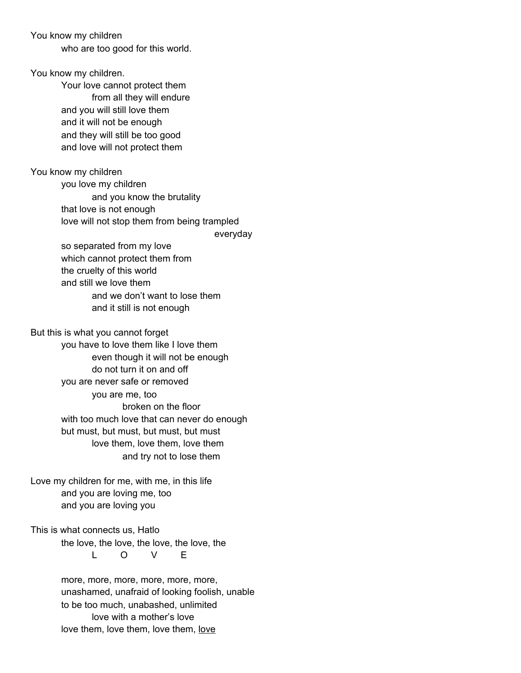You know my children

who are too good for this world.

You know my children. Your love cannot protect them from all they will endure and you will still love them and it will not be enough and they will still be too good and love will not protect them

You know my children you love my children and you know the brutality that love is not enough love will not stop them from being trampled

> so separated from my love which cannot protect them from the cruelty of this world and still we love them and we don't want to lose them and it still is not enough

everyday

But this is what you cannot forget you have to love them like I love them even though it will not be enough do not turn it on and off you are never safe or removed you are me, too broken on the floor with too much love that can never do enough but must, but must, but must, but must love them, love them, love them and try not to lose them

Love my children for me, with me, in this life and you are loving me, too and you are loving you

This is what connects us, Hatlo the love, the love, the love, the love, the L O V E

> more, more, more, more, more, more, unashamed, unafraid of looking foolish, unable to be too much, unabashed, unlimited love with a mother's love love them, love them, love them, love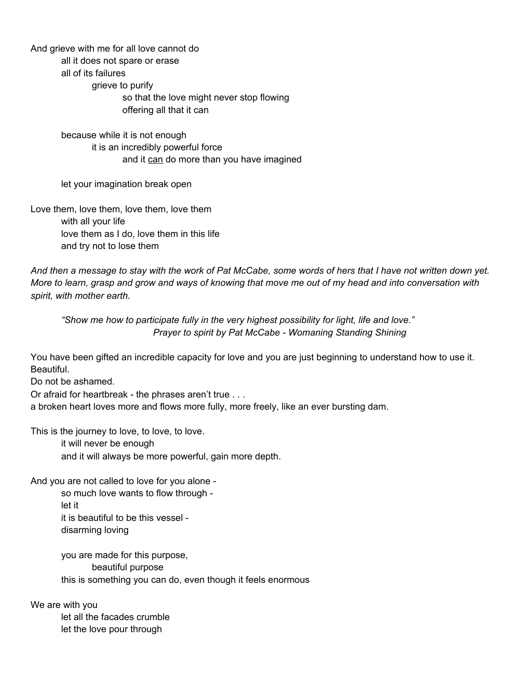And grieve with me for all love cannot do all it does not spare or erase all of its failures grieve to purify so that the love might never stop flowing offering all that it can

> because while it is not enough it is an incredibly powerful force and it can do more than you have imagined

let your imagination break open

Love them, love them, love them, love them with all your life love them as I do, love them in this life and try not to lose them

And then a message to stay with the work of Pat McCabe, some words of hers that I have not written down yet. More to learn, grasp and grow and ways of knowing that move me out of my head and into conversation with *spirit, with mother earth.*

*"Show me how to participate fully in the very highest possibility for light, life and love." Prayer to spirit by Pat McCabe - Womaning Standing Shining*

You have been gifted an incredible capacity for love and you are just beginning to understand how to use it. Beautiful.

Do not be ashamed.

Or afraid for heartbreak - the phrases aren't true . . .

a broken heart loves more and flows more fully, more freely, like an ever bursting dam.

This is the journey to love, to love, to love.

it will never be enough and it will always be more powerful, gain more depth.

And you are not called to love for you alone -

so much love wants to flow through let it it is beautiful to be this vessel disarming loving

you are made for this purpose, beautiful purpose this is something you can do, even though it feels enormous

We are with you let all the facades crumble let the love pour through